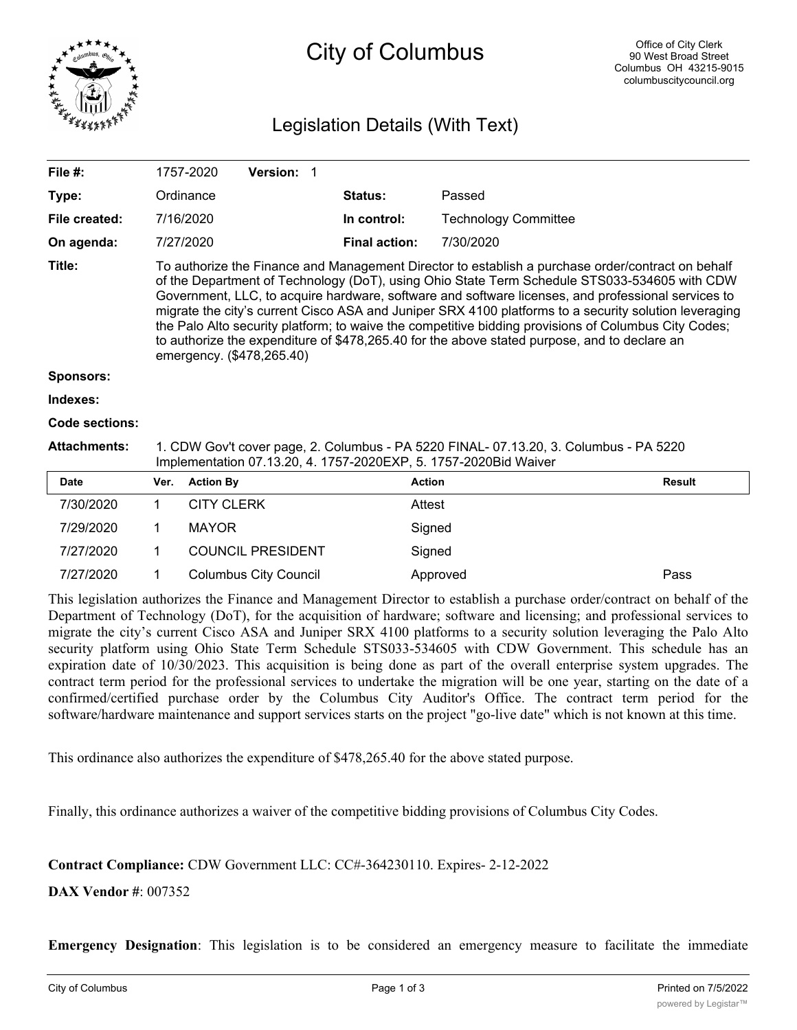

# City of Columbus

## Legislation Details (With Text)

| File #:             |                                                                                                                                                                                                                                                                                                                                                                                                                                                                                                                                                                                                                                                       | 1757-2020         | Version: 1               |  |                      |                             |               |
|---------------------|-------------------------------------------------------------------------------------------------------------------------------------------------------------------------------------------------------------------------------------------------------------------------------------------------------------------------------------------------------------------------------------------------------------------------------------------------------------------------------------------------------------------------------------------------------------------------------------------------------------------------------------------------------|-------------------|--------------------------|--|----------------------|-----------------------------|---------------|
| Type:               |                                                                                                                                                                                                                                                                                                                                                                                                                                                                                                                                                                                                                                                       | Ordinance         |                          |  | <b>Status:</b>       | Passed                      |               |
| File created:       |                                                                                                                                                                                                                                                                                                                                                                                                                                                                                                                                                                                                                                                       | 7/16/2020         |                          |  | In control:          | <b>Technology Committee</b> |               |
| On agenda:          |                                                                                                                                                                                                                                                                                                                                                                                                                                                                                                                                                                                                                                                       | 7/27/2020         |                          |  | <b>Final action:</b> | 7/30/2020                   |               |
| Title:              | To authorize the Finance and Management Director to establish a purchase order/contract on behalf<br>of the Department of Technology (DoT), using Ohio State Term Schedule STS033-534605 with CDW<br>Government, LLC, to acquire hardware, software and software licenses, and professional services to<br>migrate the city's current Cisco ASA and Juniper SRX 4100 platforms to a security solution leveraging<br>the Palo Alto security platform; to waive the competitive bidding provisions of Columbus City Codes;<br>to authorize the expenditure of \$478,265.40 for the above stated purpose, and to declare an<br>emergency. (\$478,265.40) |                   |                          |  |                      |                             |               |
| <b>Sponsors:</b>    |                                                                                                                                                                                                                                                                                                                                                                                                                                                                                                                                                                                                                                                       |                   |                          |  |                      |                             |               |
| Indexes:            |                                                                                                                                                                                                                                                                                                                                                                                                                                                                                                                                                                                                                                                       |                   |                          |  |                      |                             |               |
| Code sections:      |                                                                                                                                                                                                                                                                                                                                                                                                                                                                                                                                                                                                                                                       |                   |                          |  |                      |                             |               |
| <b>Attachments:</b> | 1. CDW Gov't cover page, 2. Columbus - PA 5220 FINAL- 07.13.20, 3. Columbus - PA 5220<br>Implementation 07.13.20, 4. 1757-2020EXP, 5. 1757-2020Bid Waiver                                                                                                                                                                                                                                                                                                                                                                                                                                                                                             |                   |                          |  |                      |                             |               |
| <b>Date</b>         | Ver.                                                                                                                                                                                                                                                                                                                                                                                                                                                                                                                                                                                                                                                  | <b>Action By</b>  |                          |  |                      | <b>Action</b>               | <b>Result</b> |
| 7/30/2020           | 1                                                                                                                                                                                                                                                                                                                                                                                                                                                                                                                                                                                                                                                     | <b>CITY CLERK</b> |                          |  |                      | Attest                      |               |
| 7/29/2020           | 1                                                                                                                                                                                                                                                                                                                                                                                                                                                                                                                                                                                                                                                     | <b>MAYOR</b>      |                          |  |                      | Signed                      |               |
| 7/27/2020           | 1                                                                                                                                                                                                                                                                                                                                                                                                                                                                                                                                                                                                                                                     |                   | <b>COUNCIL PRESIDENT</b> |  |                      | Signed                      |               |

7/27/2020 1 Columbus City Council Approved Pass

This legislation authorizes the Finance and Management Director to establish a purchase order/contract on behalf of the Department of Technology (DoT), for the acquisition of hardware; software and licensing; and professional services to migrate the city's current Cisco ASA and Juniper SRX 4100 platforms to a security solution leveraging the Palo Alto security platform using Ohio State Term Schedule STS033-534605 with CDW Government. This schedule has an expiration date of 10/30/2023. This acquisition is being done as part of the overall enterprise system upgrades. The contract term period for the professional services to undertake the migration will be one year, starting on the date of a confirmed/certified purchase order by the Columbus City Auditor's Office. The contract term period for the software/hardware maintenance and support services starts on the project "go-live date" which is not known at this time.

This ordinance also authorizes the expenditure of \$478,265.40 for the above stated purpose.

Finally, this ordinance authorizes a waiver of the competitive bidding provisions of Columbus City Codes.

**Contract Compliance:** CDW Government LLC: CC#-364230110. Expires- 2-12-2022

**DAX Vendor #**: 007352

**Emergency Designation**: This legislation is to be considered an emergency measure to facilitate the immediate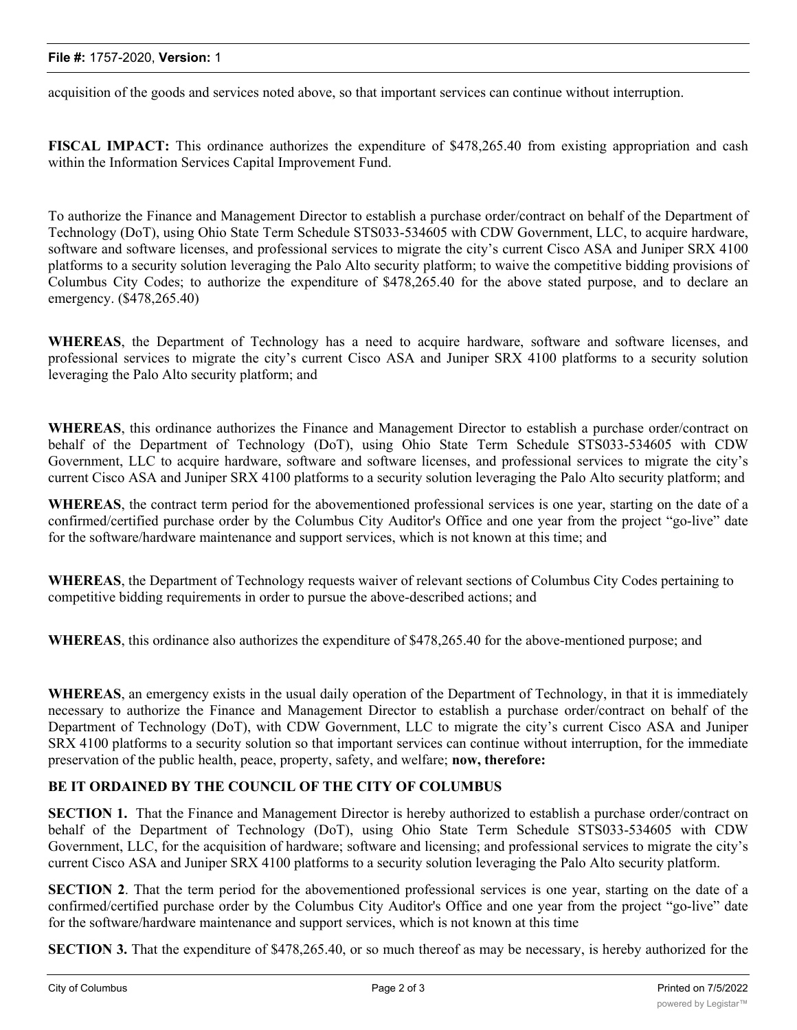#### **File #:** 1757-2020, **Version:** 1

acquisition of the goods and services noted above, so that important services can continue without interruption.

**FISCAL IMPACT:** This ordinance authorizes the expenditure of \$478,265.40 from existing appropriation and cash within the Information Services Capital Improvement Fund.

To authorize the Finance and Management Director to establish a purchase order/contract on behalf of the Department of Technology (DoT), using Ohio State Term Schedule STS033-534605 with CDW Government, LLC, to acquire hardware, software and software licenses, and professional services to migrate the city's current Cisco ASA and Juniper SRX 4100 platforms to a security solution leveraging the Palo Alto security platform; to waive the competitive bidding provisions of Columbus City Codes; to authorize the expenditure of \$478,265.40 for the above stated purpose, and to declare an emergency. (\$478,265.40)

**WHEREAS**, the Department of Technology has a need to acquire hardware, software and software licenses, and professional services to migrate the city's current Cisco ASA and Juniper SRX 4100 platforms to a security solution leveraging the Palo Alto security platform; and

**WHEREAS**, this ordinance authorizes the Finance and Management Director to establish a purchase order/contract on behalf of the Department of Technology (DoT), using Ohio State Term Schedule STS033-534605 with CDW Government, LLC to acquire hardware, software and software licenses, and professional services to migrate the city's current Cisco ASA and Juniper SRX 4100 platforms to a security solution leveraging the Palo Alto security platform; and

**WHEREAS**, the contract term period for the abovementioned professional services is one year, starting on the date of a confirmed/certified purchase order by the Columbus City Auditor's Office and one year from the project "go-live" date for the software/hardware maintenance and support services, which is not known at this time; and

**WHEREAS**, the Department of Technology requests waiver of relevant sections of Columbus City Codes pertaining to competitive bidding requirements in order to pursue the above-described actions; and

**WHEREAS**, this ordinance also authorizes the expenditure of \$478,265.40 for the above-mentioned purpose; and

**WHEREAS**, an emergency exists in the usual daily operation of the Department of Technology, in that it is immediately necessary to authorize the Finance and Management Director to establish a purchase order/contract on behalf of the Department of Technology (DoT), with CDW Government, LLC to migrate the city's current Cisco ASA and Juniper SRX 4100 platforms to a security solution so that important services can continue without interruption, for the immediate preservation of the public health, peace, property, safety, and welfare; **now, therefore:**

### **BE IT ORDAINED BY THE COUNCIL OF THE CITY OF COLUMBUS**

**SECTION 1.** That the Finance and Management Director is hereby authorized to establish a purchase order/contract on behalf of the Department of Technology (DoT), using Ohio State Term Schedule STS033-534605 with CDW Government, LLC, for the acquisition of hardware; software and licensing; and professional services to migrate the city's current Cisco ASA and Juniper SRX 4100 platforms to a security solution leveraging the Palo Alto security platform.

**SECTION 2**. That the term period for the abovementioned professional services is one year, starting on the date of a confirmed/certified purchase order by the Columbus City Auditor's Office and one year from the project "go-live" date for the software/hardware maintenance and support services, which is not known at this time

**SECTION** 3. That the expenditure of \$478,265.40, or so much thereof as may be necessary, is hereby authorized for the